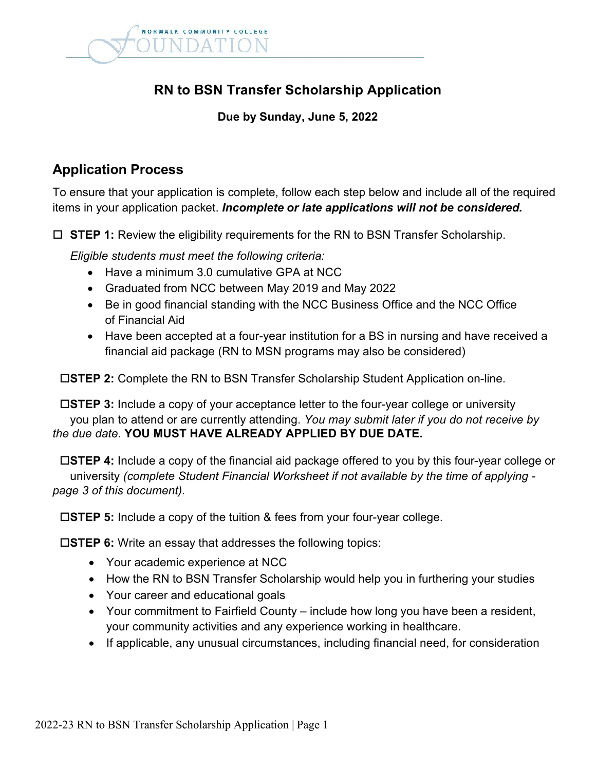

# **RN to BSN Transfer Scholarship Application**

#### **Due by Sunday, June 5, 2022**

#### **Application Process**

To ensure that your application is complete, follow each step below and include all of the required items in your application packet. *Incomplete or late applications will not be considered.*

**STEP 1:** Review the eligibility requirements for the RN to BSN Transfer Scholarship.

*Eligible students must meet the following criteria:*

- Have a minimum 3.0 cumulative GPA at NCC
- Graduated from NCC between May 2019 and May 2022
- Be in good financial standing with the NCC Business Office and the NCC Office of Financial Aid
- Have been accepted at a four-year institution for a BS in nursing and have received a financial aid package (RN to MSN programs may also be considered)

**STEP 2:** Complete the RN to BSN Transfer Scholarship Student Application on-line.

 **STEP 3:** Include a copy of your acceptance letter to the four-year college or university you plan to attend or are currently attending. *You may submit later if you do not receive by the due date.* **YOU MUST HAVE ALREADY APPLIED BY DUE DATE.**

 **STEP 4:** Include a copy of the financial aid package offered to you by this four-year college or university *(complete Student Financial Worksheet if not available by the time of applying page 3 of this document).*

**STEP 5:** Include a copy of the tuition & fees from your four-year college.

**STEP 6:** Write an essay that addresses the following topics:

- Your academic experience at NCC
- How the RN to BSN Transfer Scholarship would help you in furthering your studies
- Your career and educational goals
- Your commitment to Fairfield County include how long you have been a resident, your community activities and any experience working in healthcare.
- If applicable, any unusual circumstances, including financial need, for consideration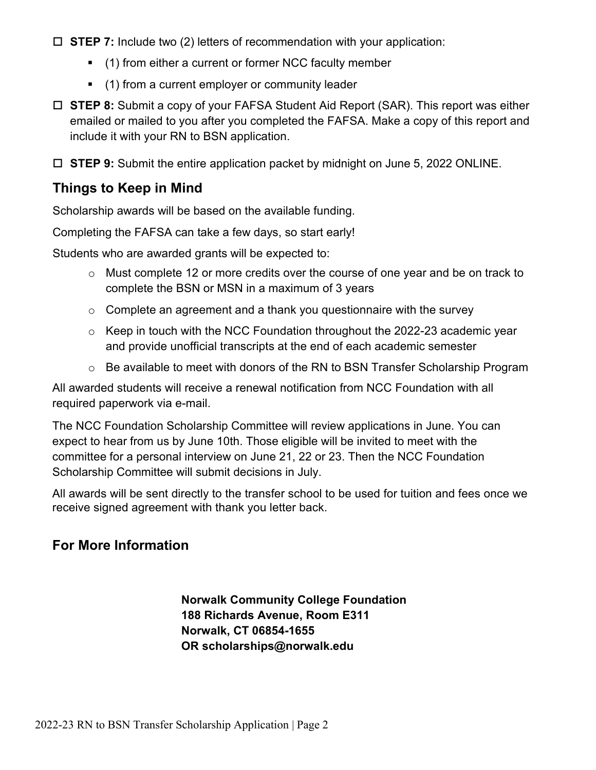- **STEP 7:** Include two (2) letters of recommendation with your application:
	- (1) from either a current or former NCC faculty member
	- **•** (1) from a current employer or community leader
- **STEP 8:** Submit a copy of your FAFSA Student Aid Report (SAR). This report was either emailed or mailed to you after you completed the FAFSA. Make a copy of this report and include it with your RN to BSN application.

**STEP 9:** Submit the entire application packet by midnight on June 5, 2022 ONLINE.

## **Things to Keep in Mind**

Scholarship awards will be based on the available funding.

Completing the FAFSA can take a few days, so start early!

Students who are awarded grants will be expected to:

- o Must complete 12 or more credits over the course of one year and be on track to complete the BSN or MSN in a maximum of 3 years
- $\circ$  Complete an agreement and a thank you questionnaire with the survey
- o Keep in touch with the NCC Foundation throughout the 2022-23 academic year and provide unofficial transcripts at the end of each academic semester
- o Be available to meet with donors of the RN to BSN Transfer Scholarship Program

All awarded students will receive a renewal notification from NCC Foundation with all required paperwork via e-mail.

The NCC Foundation Scholarship Committee will review applications in June. You can expect to hear from us by June 10th. Those eligible will be invited to meet with the committee for a personal interview on June 21, 22 or 23. Then the NCC Foundation Scholarship Committee will submit decisions in July.

All awards will be sent directly to the transfer school to be used for tuition and fees once we receive signed agreement with thank you letter back.

## **For More Information**

**Norwalk Community College Foundation 188 Richards Avenue, Room E311 Norwalk, CT 06854-1655 OR scholarships@norwalk.edu**